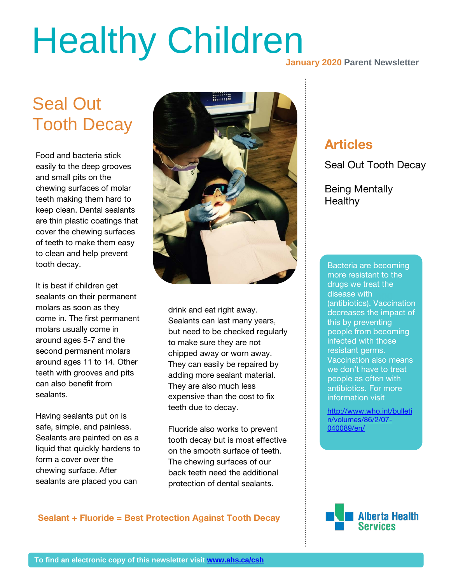# Healthy Children<br>January 2020 Parent Newsletter

## Seal Out Tooth Decay

Food and bacteria stick easily to the deep grooves and small pits on the chewing surfaces of molar teeth making them hard to keep clean. Dental sealants are thin plastic coatings that cover the chewing surfaces of teeth to make them easy to clean and help prevent tooth decay.

It is best if children get sealants on their permanent molars as soon as they come in. The first permanent molars usually come in around ages 5-7 and the second permanent molars around ages 11 to 14. Other teeth with grooves and pits can also benefit from sealants.

Having sealants put on is safe, simple, and painless. Sealants are painted on as a liquid that quickly hardens to form a cover over the chewing surface. After sealants are placed you can



drink and eat right away. Sealants can last many years, but need to be checked regularly to make sure they are not chipped away or worn away. They can easily be repaired by adding more sealant material. They are also much less expensive than the cost to fix teeth due to decay.

Fluoride also works to prevent tooth decay but is most effective on the smooth surface of teeth. The chewing surfaces of our back teeth need the additional protection of dental sealants.

## Articles

Seal Out Tooth Decay

Being Mentally **Healthy** 

aisease with<br>(antibiotics). Vaccination **30%** resistant germs. Bacteria are becoming more resistant to the drugs we treat the disease with decreases the impact of this by preventing people from becoming infected with those Vaccination also means we don't have to treat people as often with antibiotics. For more information visit

[http://www.who.int/bulleti](http://www.who.int/bulletin/volumes/86/2/07-040089/en/) [n/volumes/86/2/07-](http://www.who.int/bulletin/volumes/86/2/07-040089/en/) [040089/en/](http://www.who.int/bulletin/volumes/86/2/07-040089/en/)

### Sealant + Fluoride = Best Protection Against Tooth Decay